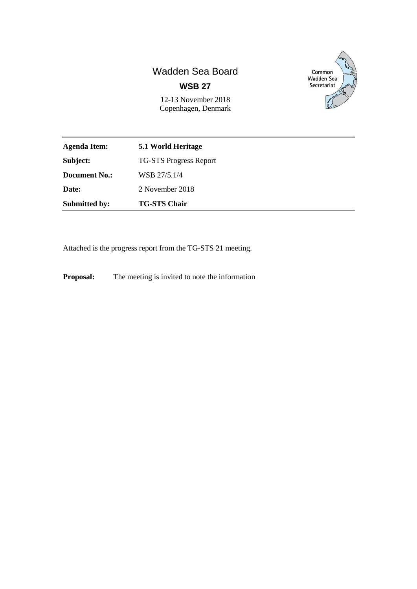# Wadden Sea Board **WSB 27**



12-13 November 2018 Copenhagen, Denmark

| Agenda Item:         | 5.1 World Heritage            |
|----------------------|-------------------------------|
| Subject:             | <b>TG-STS Progress Report</b> |
| <b>Document No.:</b> | WSB 27/5.1/4                  |
| <b>Date:</b>         | 2 November 2018               |
| <b>Submitted by:</b> | <b>TG-STS Chair</b>           |

Attached is the progress report from the TG-STS 21 meeting.

**Proposal:** The meeting is invited to note the information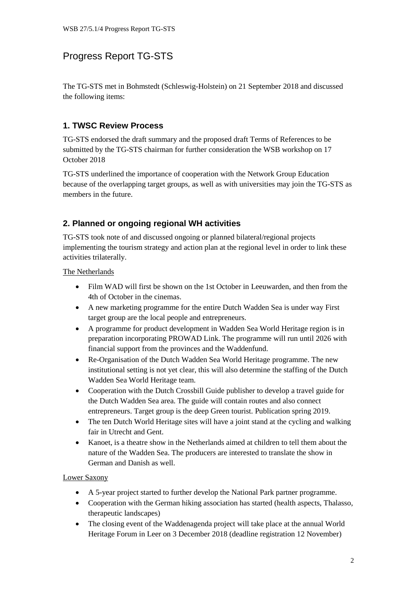# Progress Report TG-STS

The TG-STS met in Bohmstedt (Schleswig-Holstein) on 21 September 2018 and discussed the following items:

## **1. TWSC Review Process**

TG-STS endorsed the draft summary and the proposed draft Terms of References to be submitted by the TG-STS chairman for further consideration the WSB workshop on 17 October 2018

TG-STS underlined the importance of cooperation with the Network Group Education because of the overlapping target groups, as well as with universities may join the TG-STS as members in the future.

## **2. Planned or ongoing regional WH activities**

TG-STS took note of and discussed ongoing or planned bilateral/regional projects implementing the tourism strategy and action plan at the regional level in order to link these activities trilaterally.

The Netherlands

- Film WAD will first be shown on the 1st October in Leeuwarden, and then from the 4th of October in the cinemas.
- A new marketing programme for the entire Dutch Wadden Sea is under way First target group are the local people and entrepreneurs.
- A programme for product development in Wadden Sea World Heritage region is in preparation incorporating PROWAD Link. The programme will run until 2026 with financial support from the provinces and the Waddenfund.
- Re-Organisation of the Dutch Wadden Sea World Heritage programme. The new institutional setting is not yet clear, this will also determine the staffing of the Dutch Wadden Sea World Heritage team.
- Cooperation with the Dutch Crossbill Guide publisher to develop a travel guide for the Dutch Wadden Sea area. The guide will contain routes and also connect entrepreneurs. Target group is the deep Green tourist. Publication spring 2019.
- The ten Dutch World Heritage sites will have a joint stand at the cycling and walking fair in Utrecht and Gent.
- Kanoet, is a theatre show in the Netherlands aimed at children to tell them about the nature of the Wadden Sea. The producers are interested to translate the show in German and Danish as well.

#### Lower Saxony

- A 5-year project started to further develop the National Park partner programme.
- Cooperation with the German hiking association has started (health aspects, Thalasso, therapeutic landscapes)
- The closing event of the Waddenagenda project will take place at the annual World Heritage Forum in Leer on 3 December 2018 (deadline registration 12 November)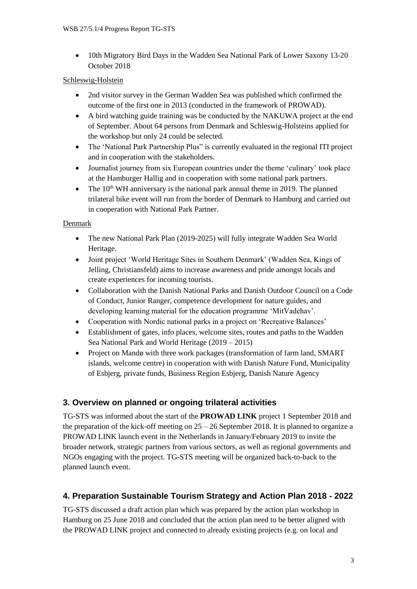• 10th Migratory Bird Days in the Wadden Sea National Park of Lower Saxony 13-20 October 2018

### Schleswig-Holstein

- 2nd visitor survey in the German Wadden Sea was published which confirmed the outcome of the first one in 2013 (conducted in the framework of PROWAD).
- A bird watching guide training was be conducted by the NAKUWA project at the end of September. About 64 persons from Denmark and Schleswig-Holsteins applied for the workshop but only 24 could be selected.
- The 'National Park Partnership Plus'' is currently evaluated in the regional ITI project and in cooperation with the stakeholders.
- Journalist journey from six European countries under the theme 'culinary' took place at the Hamburger Hallig and in cooperation with some national park partners.
- The  $10<sup>th</sup> WH$  anniversary is the national park annual theme in 2019. The planned trilateral bike event will run from the border of Denmark to Hamburg and carried out in cooperation with National Park Partner.

### **Denmark**

- The new National Park Plan (2019-2025) will fully integrate Wadden Sea World Heritage.
- Joint project 'World Heritage Sites in Southern Denmark' (Wadden Sea, Kings of Jelling, Christiansfeld) aims to increase awareness and pride amongst locals and create experiences for incoming tourists.
- Collaboration with the Danish National Parks and Danish Outdoor Council on a Code of Conduct, Junior Ranger, competence development for nature guides, and developing learning material for the education programme 'MitVadehav'.
- Cooperation with Nordic national parks in a project on 'Recreative Balances'
- Establishment of gates, info places, welcome sites, routes and paths to the Wadden Sea National Park and World Heritage (2019 – 2015)
- Project on Mandø with three work packages (transformation of farm land, SMART) islands, welcome centre) in cooperation with with Danish Nature Fund, Municipality of Esbjerg, private funds, Business Region Esbjerg, Danish Nature Agency

## **3. Overview on planned or ongoing trilateral activities**

TG-STS was informed about the start of the **PROWAD LINK** project 1 September 2018 and the preparation of the kick-off meeting on  $25 - 26$  September 2018. It is planned to organize a PROWAD LINK launch event in the Netherlands in January/February 2019 to invite the broader network, strategic partners from various sectors, as well as regional governments and NGOs engaging with the project. TG-STS meeting will be organized back-to-back to the planned launch event.

## **4. Preparation Sustainable Tourism Strategy and Action Plan 2018 - 2022**

TG-STS discussed a draft action plan which was prepared by the action plan workshop in Hamburg on 25 June 2018 and concluded that the action plan need to be better aligned with the PROWAD LINK project and connected to already existing projects (e.g. on local and